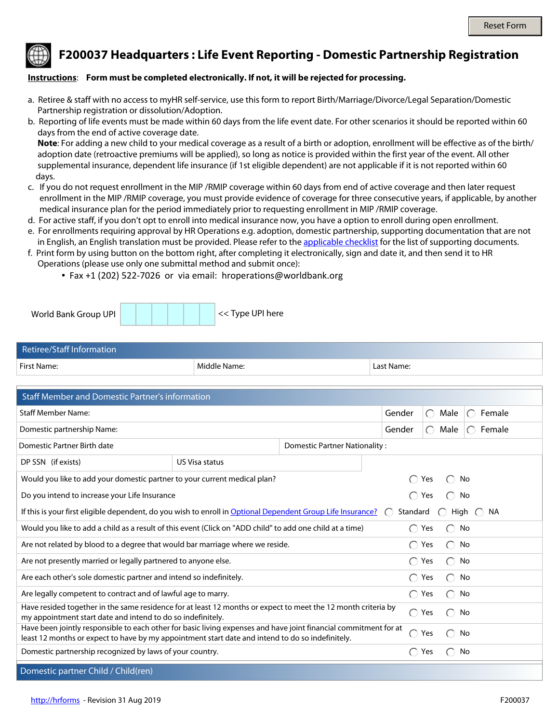

**F200037 Headquarters : Life Event Reporting - Domestic Partnership Registration**

## **Instructions**: **Form must be completed electronically. If not, it will be rejected for processing.**

- a. Retiree & staff with no access to myHR self-service, use this form to report Birth/Marriage/Divorce/Legal Separation/Domestic Partnership registration or dissolution/Adoption.
- b. Reporting of life events must be made within 60 days from the life event date. For other scenarios it should be reported within 60 days from the end of active coverage date.

 **Note**: For adding a new child to your medical coverage as a result of a birth or adoption, enrollment will be effective as of the birth/ adoption date (retroactive premiums will be applied), so long as notice is provided within the first year of the event. All other supplemental insurance, dependent life insurance (if 1st eligible dependent) are not applicable if it is not reported within 60 days.

- c. If you do not request enrollment in the MIP /RMIP coverage within 60 days from end of active coverage and then later request enrollment in the MIP /RMIP coverage, you must provide evidence of coverage for three consecutive years, if applicable, by another medical insurance plan for the period immediately prior to requesting enrollment in MIP /RMIP coverage.
- d. For active staff, if you don't opt to enroll into medical insurance now, you have a option to enroll during open enrollment.
- e. For enrollments requiring approval by HR Operations e.g. adoption, domestic partnership, supporting documentation that are not in English, an English translation must be provided. Please refer to the [applicable checklist](http://www.worldbank.org/en/about/unit/human-resources/household-changes-and-life-events-reporting) for the list of supporting documents.
- f. Print form by using button on the bottom right, after completing it electronically, sign and date it, and then send it to HR Operations (please use only one submittal method and submit once):
	- Fax +1 (202) 522-7026 or via email: hroperations@worldbank.org

| << Type UPI here<br>World Bank Group UPI |
|------------------------------------------|
|------------------------------------------|

| Retiree/Staff Information |              |            |
|---------------------------|--------------|------------|
| First Name:               | Middle Name: | Last Name: |

| <b>Staff Member and Domestic Partner's information</b>                                                                                                                                                               |                       |                                               |                                                      |                                                      |    |  |  |
|----------------------------------------------------------------------------------------------------------------------------------------------------------------------------------------------------------------------|-----------------------|-----------------------------------------------|------------------------------------------------------|------------------------------------------------------|----|--|--|
| <b>Staff Member Name:</b>                                                                                                                                                                                            |                       | Gender                                        | Male<br>$\bigcap$                                    | Female<br>∩                                          |    |  |  |
| Domestic partnership Name:                                                                                                                                                                                           |                       | Gender                                        | Male<br>$\bigcap$                                    | Female<br>$\bigcap$                                  |    |  |  |
| Domestic Partner Birth date                                                                                                                                                                                          |                       | Domestic Partner Nationality:                 |                                                      |                                                      |    |  |  |
| DP SSN (if exists)                                                                                                                                                                                                   | <b>US Visa status</b> | $\vert \mathbf{v} \vert$                      |                                                      |                                                      |    |  |  |
| Would you like to add your domestic partner to your current medical plan?                                                                                                                                            |                       |                                               | Yes                                                  | No                                                   |    |  |  |
| Do you intend to increase your Life Insurance                                                                                                                                                                        |                       | $\bigcap$ Yes                                 |                                                      | No                                                   |    |  |  |
| If this is your first eligible dependent, do you wish to enroll in Optional Dependent Group Life Insurance?<br>Standard<br>High<br>ΝA                                                                                |                       |                                               |                                                      |                                                      |    |  |  |
| Would you like to add a child as a result of this event (Click on "ADD child" to add one child at a time)                                                                                                            |                       |                                               | ◯                                                    | Yes<br>$(\ )$                                        | No |  |  |
| Are not related by blood to a degree that would bar marriage where we reside.                                                                                                                                        |                       | $\left( \begin{array}{c} \end{array} \right)$ | Yes<br>$\left( \begin{array}{c} \end{array} \right)$ | No                                                   |    |  |  |
| Are not presently married or legally partnered to anyone else.                                                                                                                                                       |                       |                                               | ◯                                                    | Yes<br>$\left( \right)$                              | No |  |  |
| Are each other's sole domestic partner and intend so indefinitely.                                                                                                                                                   |                       |                                               | $\bigcap$                                            | Yes<br>◯                                             | No |  |  |
| Are legally competent to contract and of lawful age to marry.                                                                                                                                                        |                       |                                               | ◯                                                    | Yes<br>$\left( \begin{array}{c} \end{array} \right)$ | No |  |  |
| Have resided together in the same residence for at least 12 months or expect to meet the 12 month criteria by<br>my appointment start date and intend to do so indefinitely.                                         |                       |                                               | ∩                                                    | Yes                                                  | No |  |  |
| Have been jointly responsible to each other for basic living expenses and have joint financial commitment for at<br>least 12 months or expect to have by my appointment start date and intend to do so indefinitely. |                       |                                               | ◯                                                    | Yes                                                  | No |  |  |
| Domestic partnership recognized by laws of your country.                                                                                                                                                             |                       |                                               | ◯                                                    | Yes<br>$\left( \begin{array}{c} \end{array} \right)$ | No |  |  |
| Domestic partner Child / Child(ren)                                                                                                                                                                                  |                       |                                               |                                                      |                                                      |    |  |  |